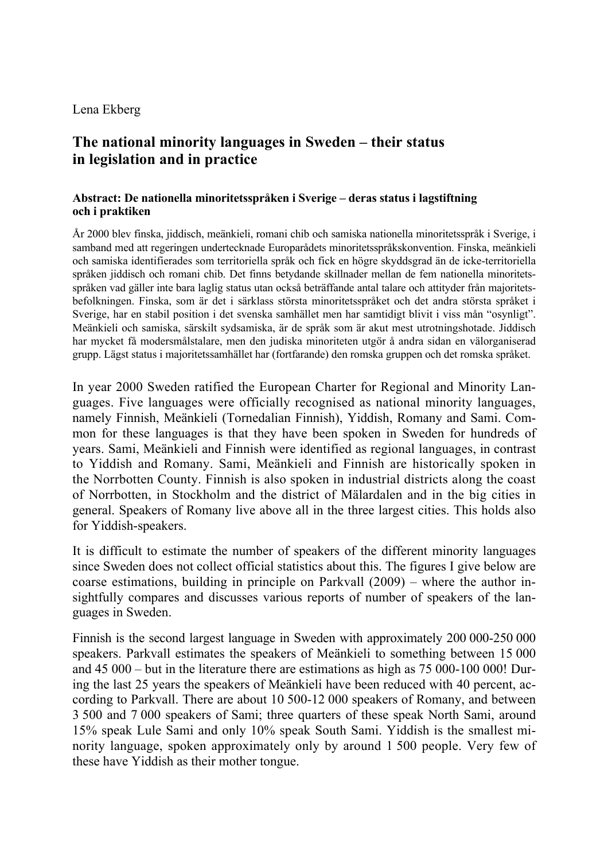#### Lena Ekberg

# **The national minority languages in Sweden – their status in legislation and in practice**

#### **Abstract: De nationella minoritetsspråken i Sverige – deras status i lagstiftning och i praktiken**

År 2000 blev finska, jiddisch, meänkieli, romani chib och samiska nationella minoritetsspråk i Sverige, i samband med att regeringen undertecknade Europarådets minoritetsspråkskonvention. Finska, meänkieli och samiska identifierades som territoriella språk och fick en högre skyddsgrad än de icke-territoriella språken jiddisch och romani chib. Det finns betydande skillnader mellan de fem nationella minoritetsspråken vad gäller inte bara laglig status utan också beträffande antal talare och attityder från majoritetsbefolkningen. Finska, som är det i särklass största minoritetsspråket och det andra största språket i Sverige, har en stabil position i det svenska samhället men har samtidigt blivit i viss mån "osynligt". Meänkieli och samiska, särskilt sydsamiska, är de språk som är akut mest utrotningshotade. Jiddisch har mycket få modersmålstalare, men den judiska minoriteten utgör å andra sidan en välorganiserad grupp. Lägst status i majoritetssamhället har (fortfarande) den romska gruppen och det romska språket.

In year 2000 Sweden ratified the European Charter for Regional and Minority Languages. Five languages were officially recognised as national minority languages, namely Finnish, Meänkieli (Tornedalian Finnish), Yiddish, Romany and Sami. Common for these languages is that they have been spoken in Sweden for hundreds of years. Sami, Meänkieli and Finnish were identified as regional languages, in contrast to Yiddish and Romany. Sami, Meänkieli and Finnish are historically spoken in the Norrbotten County. Finnish is also spoken in industrial districts along the coast of Norrbotten, in Stockholm and the district of Mälardalen and in the big cities in general. Speakers of Romany live above all in the three largest cities. This holds also for Yiddish-speakers.

It is difficult to estimate the number of speakers of the different minority languages since Sweden does not collect official statistics about this. The figures I give below are coarse estimations, building in principle on Parkvall (2009) – where the author insightfully compares and discusses various reports of number of speakers of the languages in Sweden.

Finnish is the second largest language in Sweden with approximately 200 000-250 000 speakers. Parkvall estimates the speakers of Meänkieli to something between 15 000 and 45 000 – but in the literature there are estimations as high as 75 000-100 000! During the last 25 years the speakers of Meänkieli have been reduced with 40 percent, according to Parkvall. There are about 10 500-12 000 speakers of Romany, and between 3 500 and 7 000 speakers of Sami; three quarters of these speak North Sami, around 15% speak Lule Sami and only 10% speak South Sami. Yiddish is the smallest minority language, spoken approximately only by around 1 500 people. Very few of these have Yiddish as their mother tongue.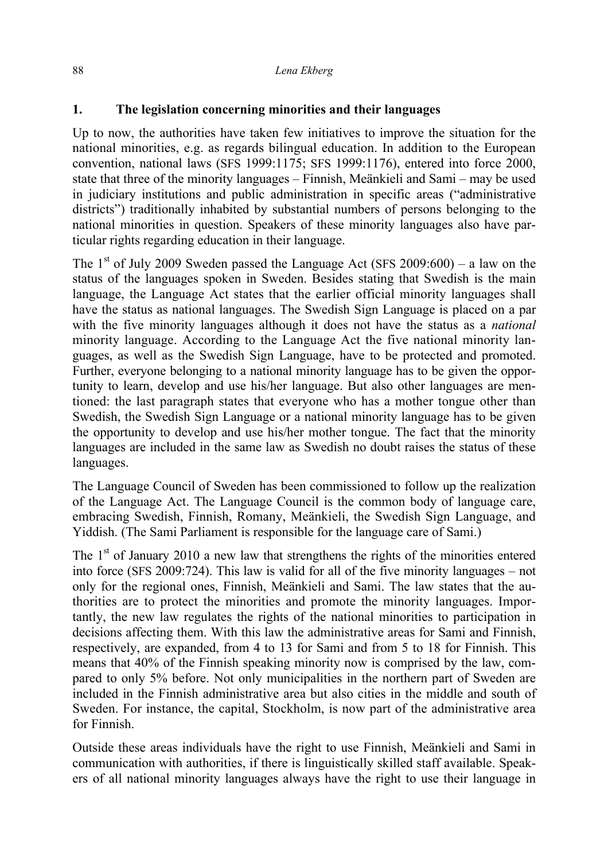### **1. The legislation concerning minorities and their languages**

Up to now, the authorities have taken few initiatives to improve the situation for the national minorities, e.g. as regards bilingual education. In addition to the European convention, national laws (SFS 1999:1175; SFS 1999:1176), entered into force 2000, state that three of the minority languages – Finnish, Meänkieli and Sami – may be used in judiciary institutions and public administration in specific areas ("administrative districts") traditionally inhabited by substantial numbers of persons belonging to the national minorities in question. Speakers of these minority languages also have particular rights regarding education in their language.

The 1<sup>st</sup> of July 2009 Sweden passed the Language Act (SFS 2009:600) – a law on the status of the languages spoken in Sweden. Besides stating that Swedish is the main language, the Language Act states that the earlier official minority languages shall have the status as national languages. The Swedish Sign Language is placed on a par with the five minority languages although it does not have the status as a *national*  minority language. According to the Language Act the five national minority languages, as well as the Swedish Sign Language, have to be protected and promoted. Further, everyone belonging to a national minority language has to be given the opportunity to learn, develop and use his/her language. But also other languages are mentioned: the last paragraph states that everyone who has a mother tongue other than Swedish, the Swedish Sign Language or a national minority language has to be given the opportunity to develop and use his/her mother tongue. The fact that the minority languages are included in the same law as Swedish no doubt raises the status of these languages.

The Language Council of Sweden has been commissioned to follow up the realization of the Language Act. The Language Council is the common body of language care, embracing Swedish, Finnish, Romany, Meänkieli, the Swedish Sign Language, and Yiddish. (The Sami Parliament is responsible for the language care of Sami.)

The  $1<sup>st</sup>$  of January 2010 a new law that strengthens the rights of the minorities entered into force (SFS 2009:724). This law is valid for all of the five minority languages – not only for the regional ones, Finnish, Meänkieli and Sami. The law states that the authorities are to protect the minorities and promote the minority languages. Importantly, the new law regulates the rights of the national minorities to participation in decisions affecting them. With this law the administrative areas for Sami and Finnish, respectively, are expanded, from 4 to 13 for Sami and from 5 to 18 for Finnish. This means that 40% of the Finnish speaking minority now is comprised by the law, compared to only 5% before. Not only municipalities in the northern part of Sweden are included in the Finnish administrative area but also cities in the middle and south of Sweden. For instance, the capital, Stockholm, is now part of the administrative area for Finnish.

Outside these areas individuals have the right to use Finnish, Meänkieli and Sami in communication with authorities, if there is linguistically skilled staff available. Speakers of all national minority languages always have the right to use their language in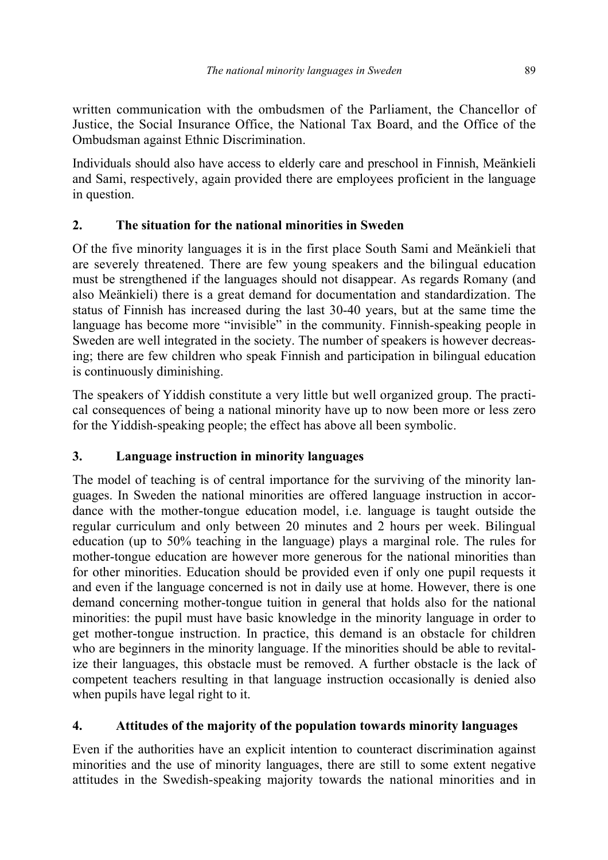written communication with the ombudsmen of the Parliament, the Chancellor of Justice, the Social Insurance Office, the National Tax Board, and the Office of the Ombudsman against Ethnic Discrimination.

Individuals should also have access to elderly care and preschool in Finnish, Meänkieli and Sami, respectively, again provided there are employees proficient in the language in question.

## **2. The situation for the national minorities in Sweden**

Of the five minority languages it is in the first place South Sami and Meänkieli that are severely threatened. There are few young speakers and the bilingual education must be strengthened if the languages should not disappear. As regards Romany (and also Meänkieli) there is a great demand for documentation and standardization. The status of Finnish has increased during the last 30-40 years, but at the same time the language has become more "invisible" in the community. Finnish-speaking people in Sweden are well integrated in the society. The number of speakers is however decreasing; there are few children who speak Finnish and participation in bilingual education is continuously diminishing.

The speakers of Yiddish constitute a very little but well organized group. The practical consequences of being a national minority have up to now been more or less zero for the Yiddish-speaking people; the effect has above all been symbolic.

# **3. Language instruction in minority languages**

The model of teaching is of central importance for the surviving of the minority languages. In Sweden the national minorities are offered language instruction in accordance with the mother-tongue education model, i.e. language is taught outside the regular curriculum and only between 20 minutes and 2 hours per week. Bilingual education (up to 50% teaching in the language) plays a marginal role. The rules for mother-tongue education are however more generous for the national minorities than for other minorities. Education should be provided even if only one pupil requests it and even if the language concerned is not in daily use at home. However, there is one demand concerning mother-tongue tuition in general that holds also for the national minorities: the pupil must have basic knowledge in the minority language in order to get mother-tongue instruction. In practice, this demand is an obstacle for children who are beginners in the minority language. If the minorities should be able to revitalize their languages, this obstacle must be removed. A further obstacle is the lack of competent teachers resulting in that language instruction occasionally is denied also when pupils have legal right to it.

## **4. Attitudes of the majority of the population towards minority languages**

Even if the authorities have an explicit intention to counteract discrimination against minorities and the use of minority languages, there are still to some extent negative attitudes in the Swedish-speaking majority towards the national minorities and in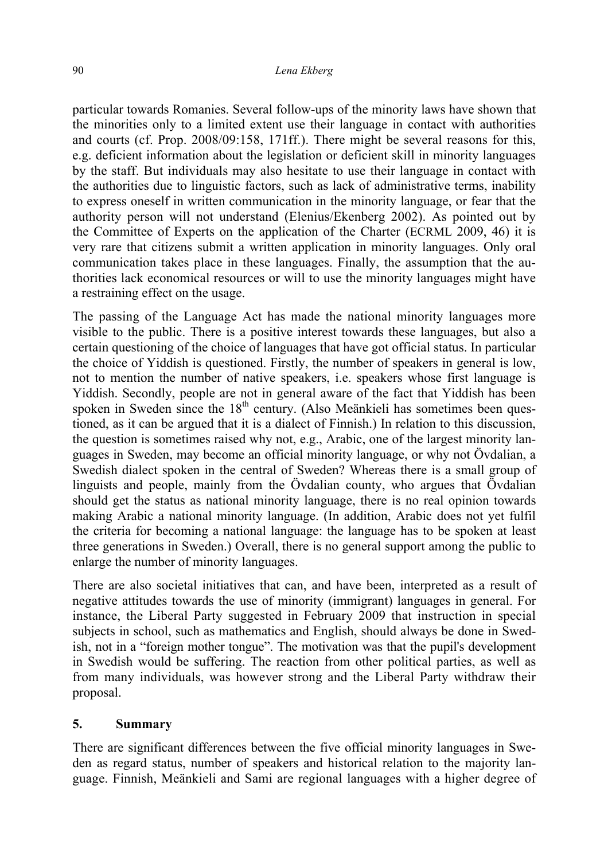particular towards Romanies. Several follow-ups of the minority laws have shown that the minorities only to a limited extent use their language in contact with authorities and courts (cf. Prop. 2008/09:158, 171ff.). There might be several reasons for this, e.g. deficient information about the legislation or deficient skill in minority languages by the staff. But individuals may also hesitate to use their language in contact with the authorities due to linguistic factors, such as lack of administrative terms, inability to express oneself in written communication in the minority language, or fear that the authority person will not understand (Elenius/Ekenberg 2002). As pointed out by the Committee of Experts on the application of the Charter (ECRML 2009, 46) it is very rare that citizens submit a written application in minority languages. Only oral communication takes place in these languages. Finally, the assumption that the authorities lack economical resources or will to use the minority languages might have a restraining effect on the usage.

The passing of the Language Act has made the national minority languages more visible to the public. There is a positive interest towards these languages, but also a certain questioning of the choice of languages that have got official status. In particular the choice of Yiddish is questioned. Firstly, the number of speakers in general is low, not to mention the number of native speakers, i.e. speakers whose first language is Yiddish. Secondly, people are not in general aware of the fact that Yiddish has been spoken in Sweden since the  $18<sup>th</sup>$  century. (Also Meänkieli has sometimes been questioned, as it can be argued that it is a dialect of Finnish.) In relation to this discussion, the question is sometimes raised why not, e.g., Arabic, one of the largest minority languages in Sweden, may become an official minority language, or why not Övdalian, a Swedish dialect spoken in the central of Sweden? Whereas there is a small group of linguists and people, mainly from the Övdalian county, who argues that Övdalian should get the status as national minority language, there is no real opinion towards making Arabic a national minority language. (In addition, Arabic does not yet fulfil the criteria for becoming a national language: the language has to be spoken at least three generations in Sweden.) Overall, there is no general support among the public to enlarge the number of minority languages.

There are also societal initiatives that can, and have been, interpreted as a result of negative attitudes towards the use of minority (immigrant) languages in general. For instance, the Liberal Party suggested in February 2009 that instruction in special subjects in school, such as mathematics and English, should always be done in Swedish, not in a "foreign mother tongue". The motivation was that the pupil's development in Swedish would be suffering. The reaction from other political parties, as well as from many individuals, was however strong and the Liberal Party withdraw their proposal.

### **5. Summary**

There are significant differences between the five official minority languages in Sweden as regard status, number of speakers and historical relation to the majority language. Finnish, Meänkieli and Sami are regional languages with a higher degree of